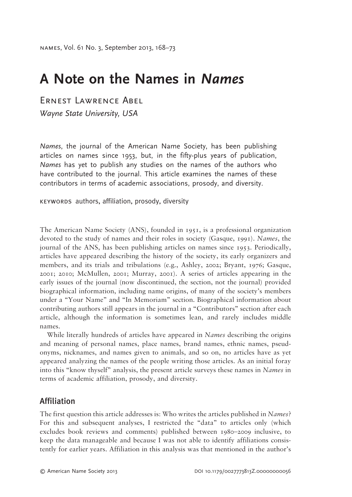# **A Note on the Names in** *Names*

Ernest Lawrence Abel

*Wayne State University, USA*

*Names*, the journal of the American Name Society, has been publishing articles on names since 1953, but, in the fifty-plus years of publication, *Names* has yet to publish any studies on the names of the authors who have contributed to the journal. This article examines the names of these contributors in terms of academic associations, prosody, and diversity.

keywords authors, affiliation, prosody, diversity

The American Name Society (ANS), founded in 1951, is a professional organization devoted to the study of names and their roles in society (Gasque, 1991). *Names*, the journal of the ANS, has been publishing articles on names since 1953. Periodically, articles have appeared describing the history of the society, its early organizers and members, and its trials and tribulations (e.g., Ashley, 2002; Bryant, 1976; Gasque, 2001; 2010; McMullen, 2001; Murray, 2001). A series of articles appearing in the early issues of the journal (now discontinued, the section, not the journal) provided biographical information, including name origins, of many of the society's members under a "Your Name" and "In Memoriam" section. Biographical information about contributing authors still appears in the journal in a "Contributors" section after each article, although the information is sometimes lean, and rarely includes middle names.

While literally hundreds of articles have appeared in *Names* describing the origins and meaning of personal names, place names, brand names, ethnic names, pseudonyms, nicknames, and names given to animals, and so on, no articles have as yet appeared analyzing the names of the people writing those articles. As an initial foray into this "know thyself" analysis, the present article surveys these names in *Names* in terms of academic affiliation, prosody, and diversity.

# Affiliation

The first question this article addresses is: Who writes the articles published in *Names*? For this and subsequent analyses, I restricted the "data" to articles only (which excludes book reviews and comments) published between 1980–2009 inclusive, to keep the data manageable and because I was not able to identify affiliations consistently for earlier years. Affiliation in this analysis was that mentioned in the author's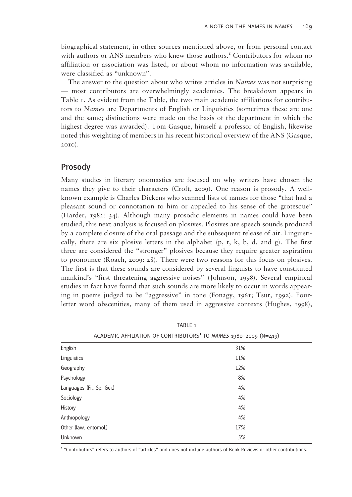biographical statement, in other sources mentioned above, or from personal contact with authors or ANS members who knew those authors.<sup>1</sup> Contributors for whom no affiliation or association was listed, or about whom no information was available, were classified as "unknown".

The answer to the question about who writes articles in *Names* was not surprising — most contributors are overwhelmingly academics. The breakdown appears in Table 1. As evident from the Table, the two main academic affiliations for contributors to *Names* are Departments of English or Linguistics (sometimes these are one and the same; distinctions were made on the basis of the department in which the highest degree was awarded). Tom Gasque, himself a professor of English, likewise noted this weighting of members in his recent historical overview of the ANS (Gasque, 2010).

## Prosody

Many studies in literary onomastics are focused on why writers have chosen the names they give to their characters (Croft, 2009). One reason is prosody. A wellknown example is Charles Dickens who scanned lists of names for those "that had a pleasant sound or connotation to him or appealed to his sense of the grotesque" (Harder, 1982: 34). Although many prosodic elements in names could have been studied, this next analysis is focused on plosives. Plosives are speech sounds produced by a complete closure of the oral passage and the subsequent release of air. Linguistically, there are six plosive letters in the alphabet  $(p, t, k, b, d, and g)$ . The first three are considered the "stronger" plosives because they require greater aspiration to pronounce (Roach, 2009: 28). There were two reasons for this focus on plosives. The first is that these sounds are considered by several linguists to have constituted mankind's "first threatening aggressive noises" (Johnson, 1998). Several empirical studies in fact have found that such sounds are more likely to occur in words appearing in poems judged to be "aggressive" in tone (Fonagy, 1961; Tsur, 1992). Fourletter word obscenities, many of them used in aggressive contexts (Hughes, 1998),

|                           | ACADEMIC AFFILIATION OF CONTRIBUTORS <sup>1</sup> TO NAMES 1980-2009 (N=419) |  |  |
|---------------------------|------------------------------------------------------------------------------|--|--|
| English                   | 31%                                                                          |  |  |
| Linguistics               | 11%                                                                          |  |  |
| Geography                 | 12%                                                                          |  |  |
| Psychology                | 8%                                                                           |  |  |
| Languages (Fr., Sp. Ger.) | 4%                                                                           |  |  |
| Sociology                 | 4%                                                                           |  |  |
| History                   | 4%                                                                           |  |  |
| Anthropology              | 4%                                                                           |  |  |
| Other (law, entomol.)     | 17%                                                                          |  |  |
| Unknown                   | 5%                                                                           |  |  |

TABLE 1

<sup>1</sup> "Contributors" refers to authors of "articles" and does not include authors of Book Reviews or other contributions.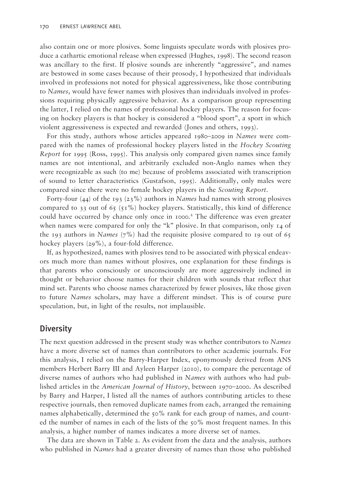also contain one or more plosives. Some linguists speculate words with plosives produce a cathartic emotional release when expressed (Hughes, 1998). The second reason was ancillary to the first. If plosive sounds are inherently "aggressive", and names are bestowed in some cases because of their prosody, I hypothesized that individuals involved in professions not noted for physical aggressiveness, like those contributing to *Names*, would have fewer names with plosives than individuals involved in professions requiring physically aggressive behavior. As a comparison group representing the latter, I relied on the names of professional hockey players. The reason for focusing on hockey players is that hockey is considered a "blood sport", a sport in which violent aggressiveness is expected and rewarded (Jones and others, 1993).

For this study, authors whose articles appeared 1980–2009 in *Names* were compared with the names of professional hockey players listed in the *Hockey Scouting Report* for 1995 (Ross, 1995). This analysis only compared given names since family names are not intentional, and arbitrarily excluded non-Anglo names when they were recognizable as such (to me) because of problems associated with transcription of sound to letter characteristics (Gustafson, 1995). Additionally, only males were compared since there were no female hockey players in the *Scouting Report*.

Forty-four (44) of the 193 (23%) authors in *Names* had names with strong plosives compared to 33 out of 65 (51%) hockey players. Statistically, this kind of difference could have occurred by chance only once in 1000.<sup>2</sup> The difference was even greater when names were compared for only the "k" plosive. In that comparison, only  $I_4$  of the 193 authors in *Names* (7%) had the requisite plosive compared to 19 out of 65 hockey players (29%), a four-fold difference.

If, as hypothesized, names with plosives tend to be associated with physical endeavors much more than names without plosives, one explanation for these findings is that parents who consciously or unconsciously are more aggressively inclined in thought or behavior choose names for their children with sounds that reflect that mind set. Parents who choose names characterized by fewer plosives, like those given to future *Names* scholars, may have a different mindset. This is of course pure speculation, but, in light of the results, not implausible.

## **Diversity**

The next question addressed in the present study was whether contributors to *Names* have a more diverse set of names than contributors to other academic journals. For this analysis, I relied on the Barry-Harper Index, eponymously derived from ANS members Herbert Barry III and Ayleen Harper (2010), to compare the percentage of diverse names of authors who had published in *Names* with authors who had published articles in the *American Journal of History*, between 1970–2000. As described by Barry and Harper, I listed all the names of authors contributing articles to these respective journals, then removed duplicate names from each, arranged the remaining names alphabetically, determined the 50% rank for each group of names, and counted the number of names in each of the lists of the  $50\%$  most frequent names. In this analysis, a higher number of names indicates a more diverse set of names.

The data are shown in Table 2. As evident from the data and the analysis, authors who published in *Names* had a greater diversity of names than those who published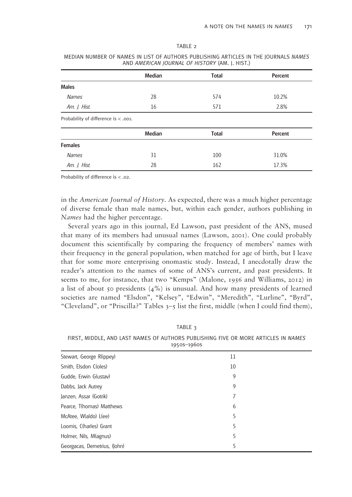|                                      | <b>Median</b> | <b>Total</b> | Percent |
|--------------------------------------|---------------|--------------|---------|
| <b>Males</b>                         |               |              |         |
| <b>Names</b>                         | 28            | 574          | 10.2%   |
| Am. J. Hist.                         | 16            | 571          | 2.8%    |
| Probability of difference is < .001. |               |              |         |
|                                      | <b>Median</b> | <b>Total</b> | Percent |
| <b>Females</b>                       |               |              |         |
| <b>Names</b>                         | 31            | 100          | 31.0%   |
| Am. J. Hist.                         | 28            | 162          | 17.3%   |

MEDIAN NUMBER OF NAMES IN LIST OF AUTHORS PUBLISHING ARTICLES IN THE JOURNALS *NAMES* AND *AMERICAN JOURNAL OF HISTORY* (AM. J. HIST.)

Probability of difference is < .02.

in the *American Journal of History*. As expected, there was a much higher percentage of diverse female than male names, but, within each gender, authors publishing in *Names* had the higher percentage.

Several years ago in this journal, Ed Lawson, past president of the ANS, mused that many of its members had unusual names (Lawson, 2001). One could probably document this scientifically by comparing the frequency of members' names with their frequency in the general population, when matched for age of birth, but I leave that for some more enterprising onomastic study. Instead, I anecdotally draw the reader's attention to the names of some of ANS's current, and past presidents. It seems to me, for instance, that two "Kemps" (Malone, 1956 and Williams, 2012) in a list of about 50 presidents  $(4\%)$  is unusual. And how many presidents of learned societies are named "Elsdon", "Kelsey", "Edwin", "Meredith", "Lurline", "Byrd", "Cleveland", or "Priscilla?" Tables 3–5 list the first, middle (when I could find them),

TABLE 3

FIRST, MIDDLE, AND LAST NAMES OF AUTHORS PUBLISHING FIVE OR MORE ARTICLES IN *NAMES*   $1050s - 1060s$ 

| Stewart, George R(ippey)     | 11 |  |  |  |
|------------------------------|----|--|--|--|
| Smith, Elsdon C(oles)        | 10 |  |  |  |
| Gudde, Erwin G(ustav)        | 9  |  |  |  |
| Dabbs, Jack Autrey           | 9  |  |  |  |
| Janzen, Assar (Gotrik)       | 7  |  |  |  |
| Pearce, T(homas) Matthews    | 6  |  |  |  |
| McAtee, W(aldo) L(ee)        | 5  |  |  |  |
| Loomis, C(harles) Grant      | 5  |  |  |  |
| Holmer, Nils, M(agnus)       | 5  |  |  |  |
| Georgacas, Demetrius, (John) | 5  |  |  |  |

#### TABLE 2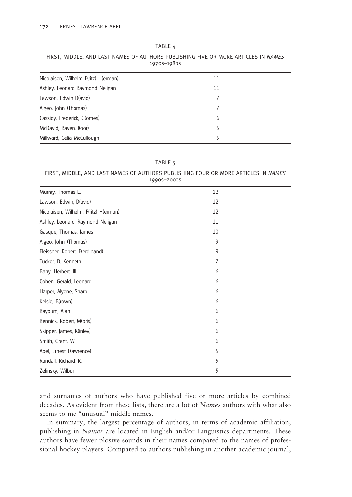| 1970S-1980S                          |    |  |  |  |
|--------------------------------------|----|--|--|--|
| Nicolaisen, Wilhelm F(ritz) H(erman) | 11 |  |  |  |
| Ashley, Leonard Raymond Neligan      | 11 |  |  |  |
| Lawson, Edwin D(avid)                |    |  |  |  |
| Algeo, John (Thomas)                 |    |  |  |  |
| Cassidy, Frederick, G(omes)          | 6  |  |  |  |
| McDavid, Raven, I(oor)               | 5  |  |  |  |
| Millward, Celia McCullough           |    |  |  |  |

TABLE 4 FIRST, MIDDLE, AND LAST NAMES OF AUTHORS PUBLISHING FIVE OR MORF ARTICLES IN NAMES

TABLE 5

### FIRST, MIDDLE, AND LAST NAMES OF AUTHORS PUBLISHING FOUR OR MORE ARTICLES IN *NAMES* 1990s–2000s

| Murray, Thomas E.                     | 12 |
|---------------------------------------|----|
| Lawson, Edwin, D(avid)                | 12 |
| Nicolaisen, Wilhelm, F(ritz) H(erman) | 12 |
| Ashley, Leonard, Raymond Neligan      | 11 |
| Gasque, Thomas, James                 | 10 |
| Algeo, John (Thomas)                  | 9  |
| Fleissner, Robert, F(erdinand)        | 9  |
| Tucker, D. Kenneth                    | 7  |
| Barry, Herbert, III                   | 6  |
| Cohen, Gerald, Leonard                | 6  |
| Harper, Alyene, Sharp                 | 6  |
| Kelsie, B(rown)                       | 6  |
| Rayburn, Alan                         | 6  |
| Rennick, Robert, M(oris)              | 6  |
| Skipper, James, K(inley)              | 6  |
| Smith, Grant, W.                      | 6  |
| Abel, Ernest L(awrence)               | 5  |
| Randall, Richard, R.                  | 5  |
| Zelinsky, Wilbur                      | 5  |

and surnames of authors who have published five or more articles by combined decades. As evident from these lists, there are a lot of *Names* authors with what also seems to me "unusual" middle names.

In summary, the largest percentage of authors, in terms of academic affiliation, publishing in *Names* are located in English and/or Linguistics departments. These authors have fewer plosive sounds in their names compared to the names of professional hockey players. Compared to authors publishing in another academic journal,